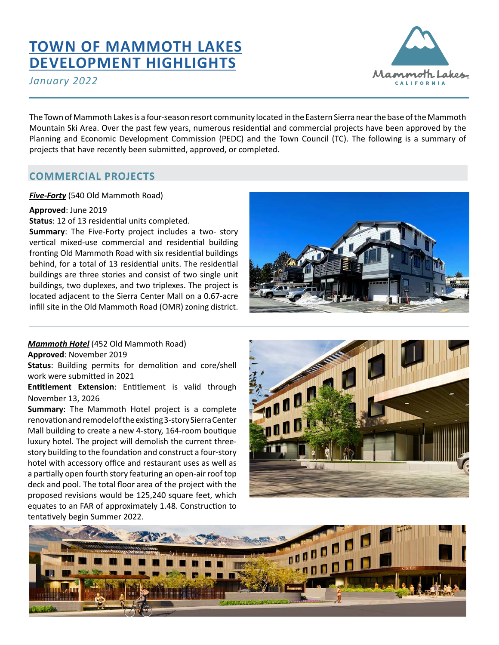# **[TOWN OF MAMMOTH LAKES](https://www.townofmammothlakes.ca.gov/127/Current-and-Archived-Projects) [DEVELOPMENT HIGHLIGHTS](https://www.townofmammothlakes.ca.gov/127/Current-and-Archived-Projects)**

*January 2022*



The Town of Mammoth Lakes is a four-season resort community located in the Eastern Sierra near the base of the Mammoth Mountain Ski Area. Over the past few years, numerous residential and commercial projects have been approved by the Planning and Economic Development Commission (PEDC) and the Town Council (TC). The following is a summary of projects that have recently been submitted, approved, or completed.

# **COMMERCIAL PROJECTS**

# *Five-Forty* (540 Old Mammoth Road)

#### **Approved**: June 2019

**Status**: 12 of 13 residential units completed.

**Summary**: The Five-Forty project includes a two- story vertical mixed-use commercial and residential building fronting Old Mammoth Road with six residential buildings behind, for a total of 13 residential units. The residential buildings are three stories and consist of two single unit buildings, two duplexes, and two triplexes. The project is located adjacent to the Sierra Center Mall on a 0.67-acre infill site in the Old Mammoth Road (OMR) zoning district.



*Mammoth Hotel* (452 Old Mammoth Road)

**Approved**: November 2019

**Status**: Building permits for demolition and core/shell work were submitted in 2021

**Entitlement Extension**: Entitlement is valid through November 13, 2026

**Summary**: The Mammoth Hotel project is a complete renovation and remodel of the existing 3-story Sierra Center Mall building to create a new 4-story, 164-room boutique luxury hotel. The project will demolish the current threestory building to the foundation and construct a four-story hotel with accessory office and restaurant uses as well as a partially open fourth story featuring an open-air roof top deck and pool. The total floor area of the project with the proposed revisions would be 125,240 square feet, which equates to an FAR of approximately 1.48. Construction to tentatively begin Summer 2022.



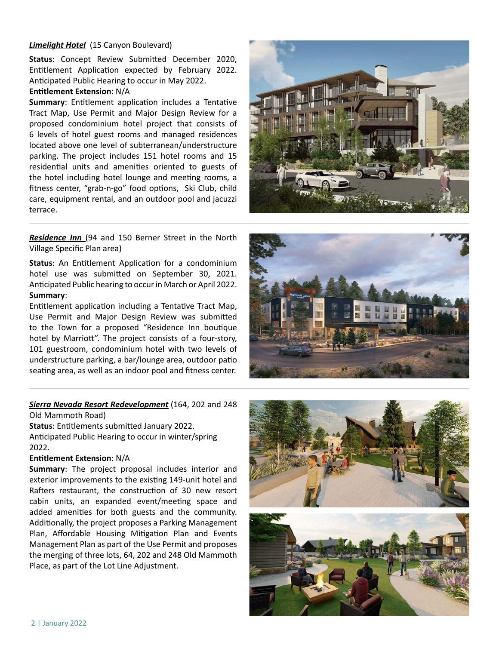#### *Limelight Hotel* (15 Canyon Boulevard)

**Status**: Concept Review Submitted December 2020, Entitlement Application expected by February 2022. Anticipated Public Hearing to occur in May 2022.

#### **Entitlement Extension**: N/A

**Summary**: Entitlement application includes a Tentative Tract Map, Use Permit and Major Design Review for a proposed condominium hotel project that consists of 6 levels of hotel guest rooms and managed residences located above one level of subterranean/understructure parking. The project includes 151 hotel rooms and 15 residential units and amenities oriented to guests of the hotel including hotel lounge and meeting rooms, a fitness center, "grab-n-go" food options, Ski Club, child care, equipment rental, and an outdoor pool and jacuzzi terrace.



**Residence Inn** (94 and 150 Berner Street in the North Village Specific Plan area)

**Status**: An Entitlement Application for a condominium hotel use was submitted on September 30, 2021. Anticipated Public hearing to occur in March or April 2022. **Summary**:

Entitlement application including a Tentative Tract Map, Use Permit and Major Design Review was submitted to the Town for a proposed "Residence Inn boutique hotel by Marriott". The project consists of a four-story, 101 guestroom, condominium hotel with two levels of understructure parking, a bar/lounge area, outdoor patio seating area, as well as an indoor pool and fitness center.



*Sierra Nevada Resort Redevelopment* (164, 202 and 248 Old Mammoth Road)

**Status**: Entitlements submitted January 2022. Anticipated Public Hearing to occur in winter/spring

2022.

#### **Entitlement Extension**: N/A

**Summary**: The project proposal includes interior and exterior improvements to the existing 149-unit hotel and Rafters restaurant, the construction of 30 new resort cabin units, an expanded event/meeting space and added amenities for both guests and the community. Additionally, the project proposes a Parking Management Plan, Affordable Housing Mitigation Plan and Events Management Plan as part of the Use Permit and proposes the merging of three lots, 64, 202 and 248 Old Mammoth Place, as part of the Lot Line Adjustment.

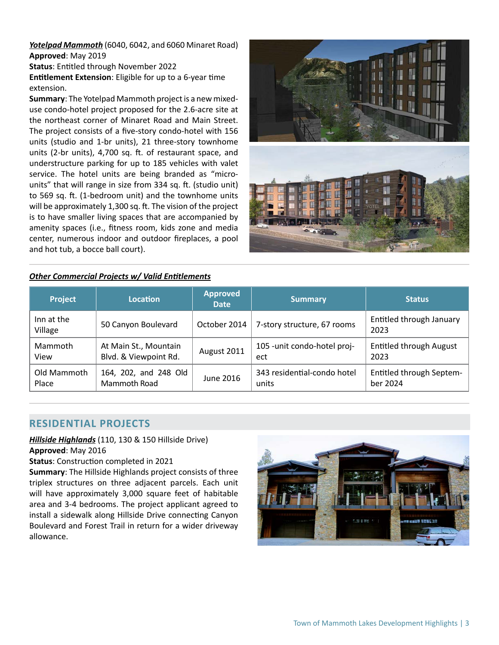*Yotelpad Mammoth* (6040, 6042, and 6060 Minaret Road) **Approved**: May 2019

**Status**: Entitled through November 2022

**Entitlement Extension**: Eligible for up to a 6-year time extension.

**Summary**: The Yotelpad Mammoth project is a new mixeduse condo-hotel project proposed for the 2.6-acre site at the northeast corner of Minaret Road and Main Street. The project consists of a five-story condo-hotel with 156 units (studio and 1-br units), 21 three-story townhome units (2-br units), 4,700 sq. ft. of restaurant space, and understructure parking for up to 185 vehicles with valet service. The hotel units are being branded as "microunits" that will range in size from 334 sq. ft. (studio unit) to 569 sq. ft. (1-bedroom unit) and the townhome units will be approximately 1,300 sq. ft. The vision of the project is to have smaller living spaces that are accompanied by amenity spaces (i.e., fitness room, kids zone and media center, numerous indoor and outdoor fireplaces, a pool and hot tub, a bocce ball court).



#### *Other Commercial Projects w/ Valid Entitlements*

| <b>Project</b>        | Location              | <b>Approved</b><br><b>Date</b> | <b>Summary</b>               | <b>Status</b>                    |
|-----------------------|-----------------------|--------------------------------|------------------------------|----------------------------------|
| Inn at the<br>Village | 50 Canyon Boulevard   | October 2014                   | 7-story structure, 67 rooms  | Entitled through January<br>2023 |
| Mammoth               | At Main St., Mountain | August 2011                    | 105 - unit condo-hotel proj- | <b>Entitled through August</b>   |
| View                  | Blvd. & Viewpoint Rd. |                                | ect                          | 2023                             |
| Old Mammoth           | 164, 202, and 248 Old | June 2016                      | 343 residential-condo hotel  | <b>Entitled through Septem-</b>  |
| Place                 | Mammoth Road          |                                | units                        | ber 2024                         |

# **RESIDENTIAL PROJECTS**

*Hillside Highlands* (110, 130 & 150 Hillside Drive) **Approved**: May 2016

**Status**: Construction completed in 2021

**Summary**: The Hillside Highlands project consists of three triplex structures on three adjacent parcels. Each unit will have approximately 3,000 square feet of habitable area and 3-4 bedrooms. The project applicant agreed to install a sidewalk along Hillside Drive connecting Canyon Boulevard and Forest Trail in return for a wider driveway allowance.

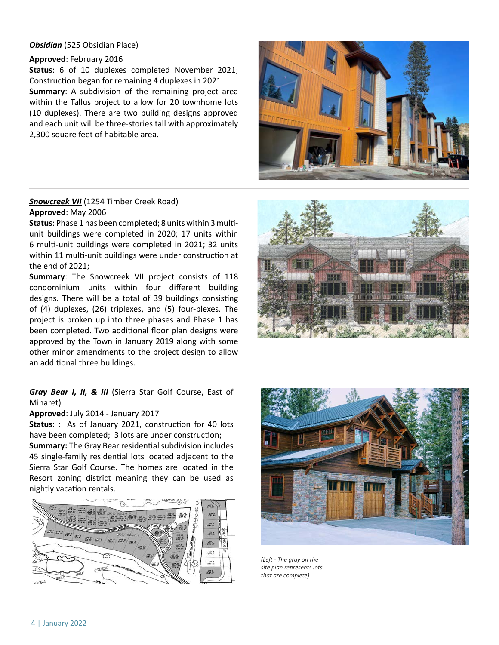#### *Obsidian* (525 Obsidian Place)

#### **Approved**: February 2016

**Status**: 6 of 10 duplexes completed November 2021; Construction began for remaining 4 duplexes in 2021 **Summary**: A subdivision of the remaining project area within the Tallus project to allow for 20 townhome lots (10 duplexes). There are two building designs approved and each unit will be three-stories tall with approximately 2,300 square feet of habitable area.

# **Snowcreek VII** (1254 Timber Creek Road) **Approved**: May 2006

**Status**: Phase 1 has been completed; 8 units within 3 multiunit buildings were completed in 2020; 17 units within 6 multi-unit buildings were completed in 2021; 32 units within 11 multi-unit buildings were under construction at the end of 2021;

**Summary**: The Snowcreek VII project consists of 118 condominium units within four different building designs. There will be a total of 39 buildings consisting of (4) duplexes, (26) triplexes, and (5) four-plexes. The project is broken up into three phases and Phase 1 has been completed. Two additional floor plan designs were approved by the Town in January 2019 along with some other minor amendments to the project design to allow an additional three buildings.

## *Gray Bear I, II, & III* (Sierra Star Golf Course, East of Minaret)

#### **Approved**: July 2014 - January 2017

**Status**: : As of January 2021, construction for 40 lots have been completed; 3 lots are under construction; **Summary:** The Gray Bear residential subdivision includes

45 single-family residential lots located adjacent to the Sierra Star Golf Course. The homes are located in the Resort zoning district meaning they can be used as nightly vacation rentals.









*(Left - The gray on the site plan represents lots that are complete)*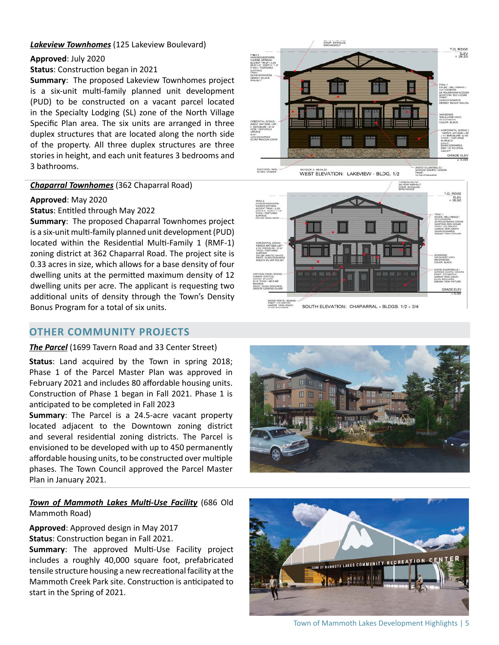#### *Lakeview Townhomes* (125 Lakeview Boulevard)

#### **Approved**: July 2020

**Status**: Construction began in 2021

**Summary**: The proposed Lakeview Townhomes project is a six-unit multi-family planned unit development (PUD) to be constructed on a vacant parcel located in the Specialty Lodging (SL) zone of the North Village Specific Plan area. The six units are arranged in three duplex structures that are located along the north side of the property. All three duplex structures are three stories in height, and each unit features 3 bedrooms and 3 bathrooms.

#### *Chaparral Townhomes* (362 Chaparral Road)

## **Approved**: May 2020

**Status**: Entitled through May 2022

**Summary**: The proposed Chaparral Townhomes project is a six-unit multi-family planned unit development (PUD) located within the Residential Multi-Family 1 (RMF-1) zoning district at 362 Chaparral Road. The project site is 0.33 acres in size, which allows for a base density of four dwelling units at the permitted maximum density of 12 dwelling units per acre. The applicant is requesting two additional units of density through the Town's Density Bonus Program for a total of six units.

# **OTHER COMMUNITY PROJECTS**

#### *The Parcel* (1699 Tavern Road and 33 Center Street)

**Status**: Land acquired by the Town in spring 2018; Phase 1 of the Parcel Master Plan was approved in February 2021 and includes 80 affordable housing units. Construction of Phase 1 began in Fall 2021. Phase 1 is anticipated to be completed in Fall 2023

**Summary**: The Parcel is a 24.5-acre vacant property located adjacent to the Downtown zoning district and several residential zoning districts. The Parcel is envisioned to be developed with up to 450 permanently affordable housing units, to be constructed over multiple phases. The Town Council approved the Parcel Master Plan in January 2021.

## *Town of Mammoth Lakes Multi-Use Facility* (686 Old Mammoth Road)

**Approved**: Approved design in May 2017 **Status**: Construction began in Fall 2021.

**Summary**: The approved Multi-Use Facility project includes a roughly 40,000 square foot, prefabricated tensile structure housing a new recreational facility at the Mammoth Creek Park site. Construction is anticipated to start in the Spring of 2021.





SOUTH ELEVATION: CHAPARRAL - BLDGS. 1/2 - 3/4





Town of Mammoth Lakes Development Highlights | 5